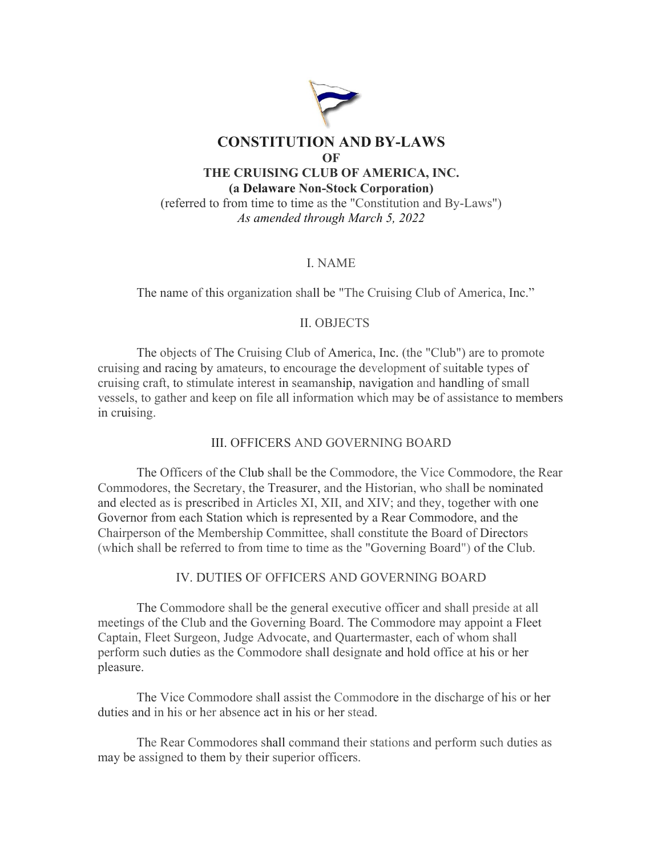

## I. NAME

The name of this organization shall be "The Cruising Club of America, Inc."

### II. OBJECTS

The objects of The Cruising Club of America, Inc. (the "Club") are to promote cruising and racing by amateurs, to encourage the development of suitable types of cruising craft, to stimulate interest in seamanship, navigation and handling of small vessels, to gather and keep on file all information which may be of assistance to members in cruising.

### III. OFFICERS AND GOVERNING BOARD

The Officers of the Club shall be the Commodore, the Vice Commodore, the Rear Commodores, the Secretary, the Treasurer, and the Historian, who shall be nominated and elected as is prescribed in Articles XI, XII, and XIV; and they, together with one Governor from each Station which is represented by a Rear Commodore, and the Chairperson of the Membership Committee, shall constitute the Board of Directors (which shall be referred to from time to time as the "Governing Board") of the Club.

### IV. DUTIES OF OFFICERS AND GOVERNING BOARD

The Commodore shall be the general executive officer and shall preside at all meetings of the Club and the Governing Board. The Commodore may appoint a Fleet Captain, Fleet Surgeon, Judge Advocate, and Quartermaster, each of whom shall perform such duties as the Commodore shall designate and hold office at his or her pleasure.

The Vice Commodore shall assist the Commodore in the discharge of his or her duties and in his or her absence act in his or her stead.

The Rear Commodores shall command their stations and perform such duties as may be assigned to them by their superior officers.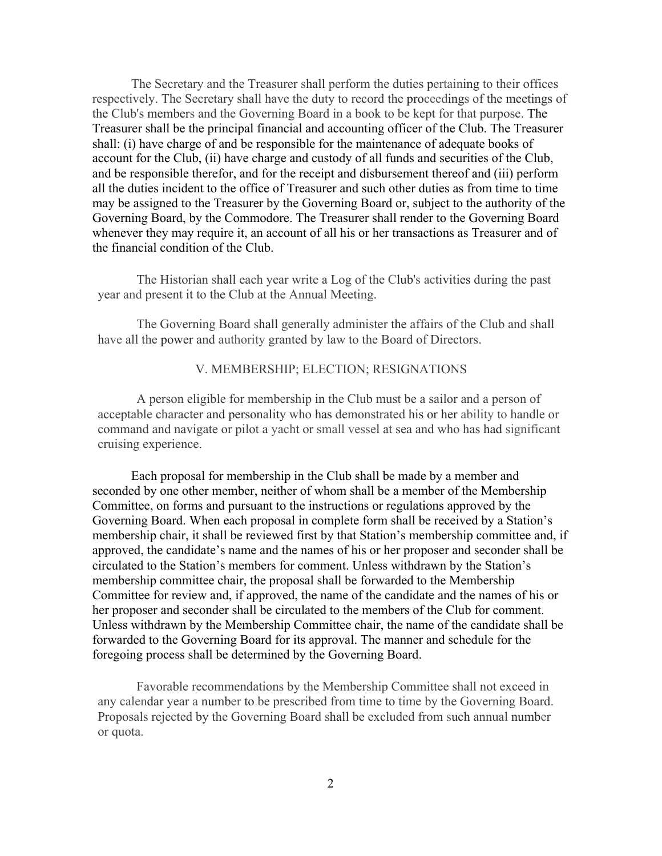The Secretary and the Treasurer shall perform the duties pertaining to their offices respectively. The Secretary shall have the duty to record the proceedings of the meetings of the Club's members and the Governing Board in a book to be kept for that purpose. The Treasurer shall be the principal financial and accounting officer of the Club. The Treasurer shall: (i) have charge of and be responsible for the maintenance of adequate books of account for the Club, (ii) have charge and custody of all funds and securities of the Club, and be responsible therefor, and for the receipt and disbursement thereof and (iii) perform all the duties incident to the office of Treasurer and such other duties as from time to time may be assigned to the Treasurer by the Governing Board or, subject to the authority of the Governing Board, by the Commodore. The Treasurer shall render to the Governing Board whenever they may require it, an account of all his or her transactions as Treasurer and of the financial condition of the Club.

The Historian shall each year write a Log of the Club's activities during the past year and present it to the Club at the Annual Meeting.

The Governing Board shall generally administer the affairs of the Club and shall have all the power and authority granted by law to the Board of Directors.

## V. MEMBERSHIP; ELECTION; RESIGNATIONS

A person eligible for membership in the Club must be a sailor and a person of acceptable character and personality who has demonstrated his or her ability to handle or command and navigate or pilot a yacht or small vessel at sea and who has had significant cruising experience.

Each proposal for membership in the Club shall be made by a member and seconded by one other member, neither of whom shall be a member of the Membership Committee, on forms and pursuant to the instructions or regulations approved by the Governing Board. When each proposal in complete form shall be received by a Station's membership chair, it shall be reviewed first by that Station's membership committee and, if approved, the candidate's name and the names of his or her proposer and seconder shall be circulated to the Station's members for comment. Unless withdrawn by the Station's membership committee chair, the proposal shall be forwarded to the Membership Committee for review and, if approved, the name of the candidate and the names of his or her proposer and seconder shall be circulated to the members of the Club for comment. Unless withdrawn by the Membership Committee chair, the name of the candidate shall be forwarded to the Governing Board for its approval. The manner and schedule for the foregoing process shall be determined by the Governing Board.

Favorable recommendations by the Membership Committee shall not exceed in any calendar year a number to be prescribed from time to time by the Governing Board. Proposals rejected by the Governing Board shall be excluded from such annual number or quota.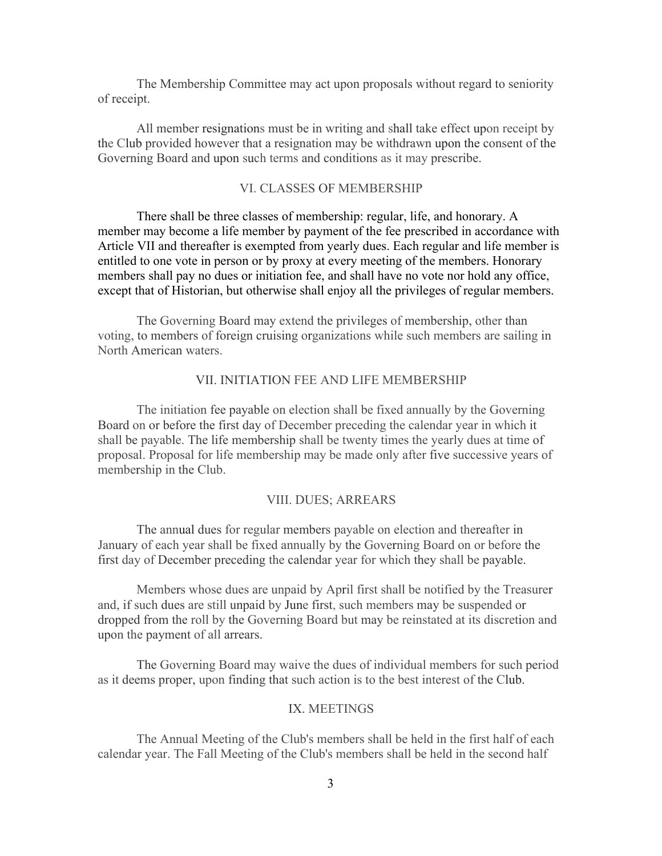The Membership Committee may act upon proposals without regard to seniority of receipt.

All member resignations must be in writing and shall take effect upon receipt by the Club provided however that a resignation may be withdrawn upon the consent of the Governing Board and upon such terms and conditions as it may prescribe.

### VI. CLASSES OF MEMBERSHIP

There shall be three classes of membership: regular, life, and honorary. A member may become a life member by payment of the fee prescribed in accordance with Article VII and thereafter is exempted from yearly dues. Each regular and life member is entitled to one vote in person or by proxy at every meeting of the members. Honorary members shall pay no dues or initiation fee, and shall have no vote nor hold any office, except that of Historian, but otherwise shall enjoy all the privileges of regular members.

The Governing Board may extend the privileges of membership, other than voting, to members of foreign cruising organizations while such members are sailing in North American waters.

## VII. INITIATION FEE AND LIFE MEMBERSHIP

The initiation fee payable on election shall be fixed annually by the Governing Board on or before the first day of December preceding the calendar year in which it shall be payable. The life membership shall be twenty times the yearly dues at time of proposal. Proposal for life membership may be made only after five successive years of membership in the Club.

## VIII. DUES; ARREARS

The annual dues for regular members payable on election and thereafter in January of each year shall be fixed annually by the Governing Board on or before the first day of December preceding the calendar year for which they shall be payable.

Members whose dues are unpaid by April first shall be notified by the Treasurer and, if such dues are still unpaid by June first, such members may be suspended or dropped from the roll by the Governing Board but may be reinstated at its discretion and upon the payment of all arrears.

The Governing Board may waive the dues of individual members for such period as it deems proper, upon finding that such action is to the best interest of the Club.

### IX. MEETINGS

The Annual Meeting of the Club's members shall be held in the first half of each calendar year. The Fall Meeting of the Club's members shall be held in the second half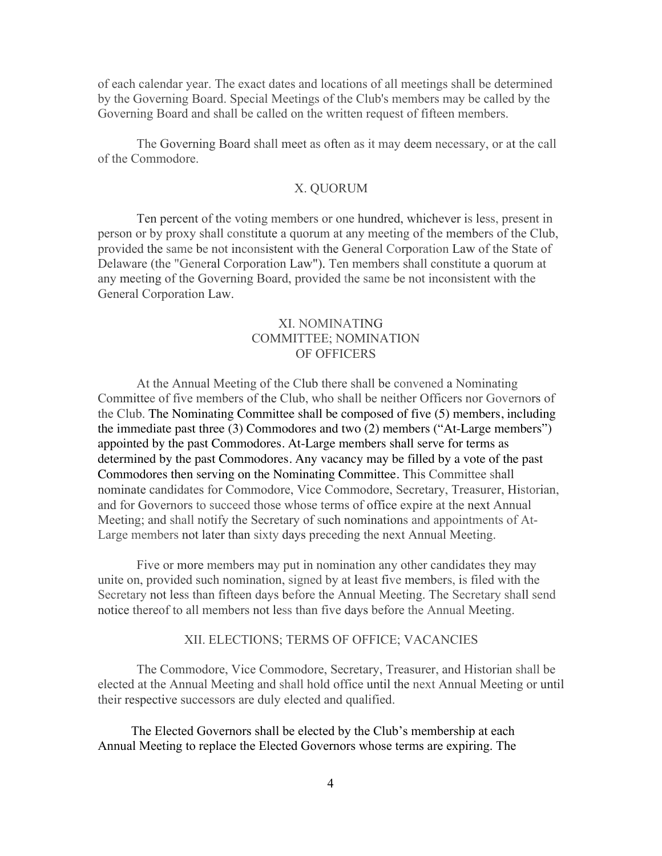of each calendar year. The exact dates and locations of all meetings shall be determined by the Governing Board. Special Meetings of the Club's members may be called by the Governing Board and shall be called on the written request of fifteen members.

The Governing Board shall meet as often as it may deem necessary, or at the call of the Commodore.

#### X. QUORUM

Ten percent of the voting members or one hundred, whichever is less, present in person or by proxy shall constitute a quorum at any meeting of the members of the Club, provided the same be not inconsistent with the General Corporation Law of the State of Delaware (the "General Corporation Law"). Ten members shall constitute a quorum at any meeting of the Governing Board, provided the same be not inconsistent with the General Corporation Law.

# XI. NOMINATING COMMITTEE; NOMINATION OF OFFICERS

At the Annual Meeting of the Club there shall be convened a Nominating Committee of five members of the Club, who shall be neither Officers nor Governors of the Club. The Nominating Committee shall be composed of five (5) members, including the immediate past three (3) Commodores and two (2) members ("At-Large members") appointed by the past Commodores. At-Large members shall serve for terms as determined by the past Commodores. Any vacancy may be filled by a vote of the past Commodores then serving on the Nominating Committee. This Committee shall nominate candidates for Commodore, Vice Commodore, Secretary, Treasurer, Historian, and for Governors to succeed those whose terms of office expire at the next Annual Meeting; and shall notify the Secretary of such nominations and appointments of At-Large members not later than sixty days preceding the next Annual Meeting.

Five or more members may put in nomination any other candidates they may unite on, provided such nomination, signed by at least five members, is filed with the Secretary not less than fifteen days before the Annual Meeting. The Secretary shall send notice thereof to all members not less than five days before the Annual Meeting.

### XII. ELECTIONS; TERMS OF OFFICE; VACANCIES

The Commodore, Vice Commodore, Secretary, Treasurer, and Historian shall be elected at the Annual Meeting and shall hold office until the next Annual Meeting or until their respective successors are duly elected and qualified.

The Elected Governors shall be elected by the Club's membership at each Annual Meeting to replace the Elected Governors whose terms are expiring. The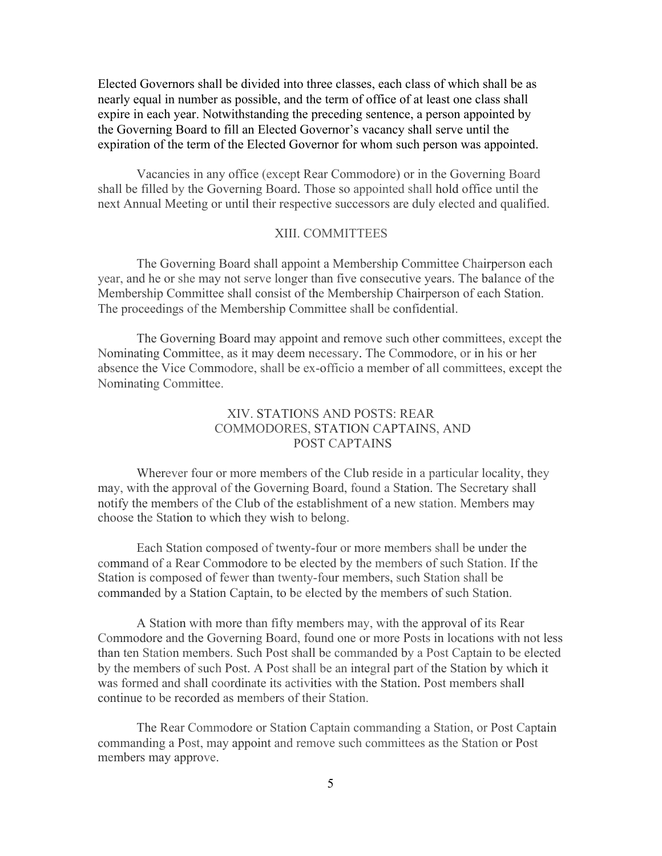Elected Governors shall be divided into three classes, each class of which shall be as nearly equal in number as possible, and the term of office of at least one class shall expire in each year. Notwithstanding the preceding sentence, a person appointed by the Governing Board to fill an Elected Governor's vacancy shall serve until the expiration of the term of the Elected Governor for whom such person was appointed.

Vacancies in any office (except Rear Commodore) or in the Governing Board shall be filled by the Governing Board. Those so appointed shall hold office until the next Annual Meeting or until their respective successors are duly elected and qualified.

## XIII. COMMITTEES

The Governing Board shall appoint a Membership Committee Chairperson each year, and he or she may not serve longer than five consecutive years. The balance of the Membership Committee shall consist of the Membership Chairperson of each Station. The proceedings of the Membership Committee shall be confidential.

The Governing Board may appoint and remove such other committees, except the Nominating Committee, as it may deem necessary. The Commodore, or in his or her absence the Vice Commodore, shall be ex-officio a member of all committees, except the Nominating Committee.

# XIV. STATIONS AND POSTS: REAR COMMODORES, STATION CAPTAINS, AND POST CAPTAINS

Wherever four or more members of the Club reside in a particular locality, they may, with the approval of the Governing Board, found a Station. The Secretary shall notify the members of the Club of the establishment of a new station. Members may choose the Station to which they wish to belong.

Each Station composed of twenty-four or more members shall be under the command of a Rear Commodore to be elected by the members of such Station. If the Station is composed of fewer than twenty-four members, such Station shall be commanded by a Station Captain, to be elected by the members of such Station.

A Station with more than fifty members may, with the approval of its Rear Commodore and the Governing Board, found one or more Posts in locations with not less than ten Station members. Such Post shall be commanded by a Post Captain to be elected by the members of such Post. A Post shall be an integral part of the Station by which it was formed and shall coordinate its activities with the Station. Post members shall continue to be recorded as members of their Station.

The Rear Commodore or Station Captain commanding a Station, or Post Captain commanding a Post, may appoint and remove such committees as the Station or Post members may approve.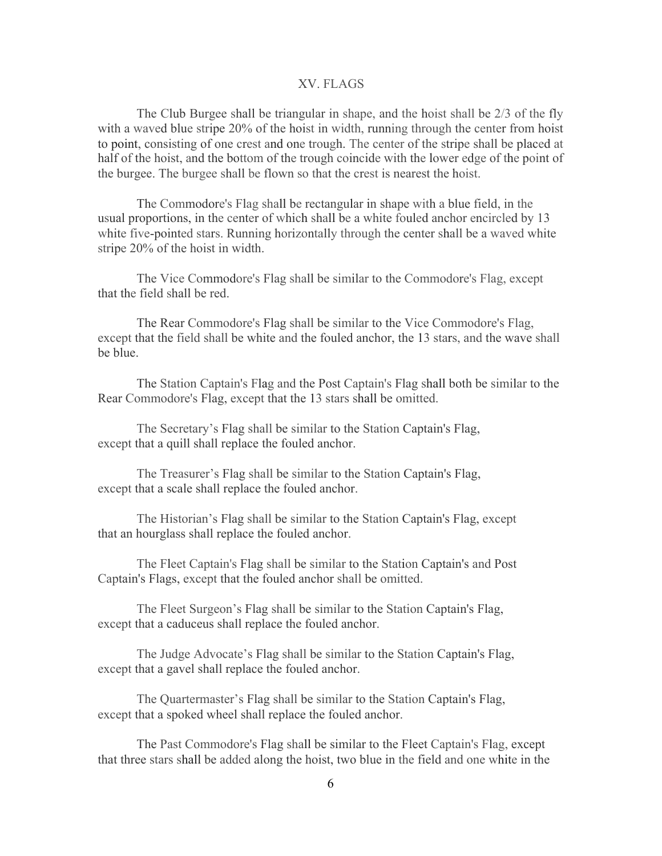#### XV. FLAGS

The Club Burgee shall be triangular in shape, and the hoist shall be 2/3 of the fly with a waved blue stripe 20% of the hoist in width, running through the center from hoist to point, consisting of one crest and one trough. The center of the stripe shall be placed at half of the hoist, and the bottom of the trough coincide with the lower edge of the point of the burgee. The burgee shall be flown so that the crest is nearest the hoist.

The Commodore's Flag shall be rectangular in shape with a blue field, in the usual proportions, in the center of which shall be a white fouled anchor encircled by 13 white five-pointed stars. Running horizontally through the center shall be a waved white stripe 20% of the hoist in width.

The Vice Commodore's Flag shall be similar to the Commodore's Flag, except that the field shall be red.

The Rear Commodore's Flag shall be similar to the Vice Commodore's Flag, except that the field shall be white and the fouled anchor, the 13 stars, and the wave shall be blue.

The Station Captain's Flag and the Post Captain's Flag shall both be similar to the Rear Commodore's Flag, except that the 13 stars shall be omitted.

The Secretary's Flag shall be similar to the Station Captain's Flag, except that a quill shall replace the fouled anchor.

The Treasurer's Flag shall be similar to the Station Captain's Flag, except that a scale shall replace the fouled anchor.

The Historian's Flag shall be similar to the Station Captain's Flag, except that an hourglass shall replace the fouled anchor.

The Fleet Captain's Flag shall be similar to the Station Captain's and Post Captain's Flags, except that the fouled anchor shall be omitted.

The Fleet Surgeon's Flag shall be similar to the Station Captain's Flag, except that a caduceus shall replace the fouled anchor.

The Judge Advocate's Flag shall be similar to the Station Captain's Flag, except that a gavel shall replace the fouled anchor.

The Quartermaster's Flag shall be similar to the Station Captain's Flag, except that a spoked wheel shall replace the fouled anchor.

The Past Commodore's Flag shall be similar to the Fleet Captain's Flag, except that three stars shall be added along the hoist, two blue in the field and one white in the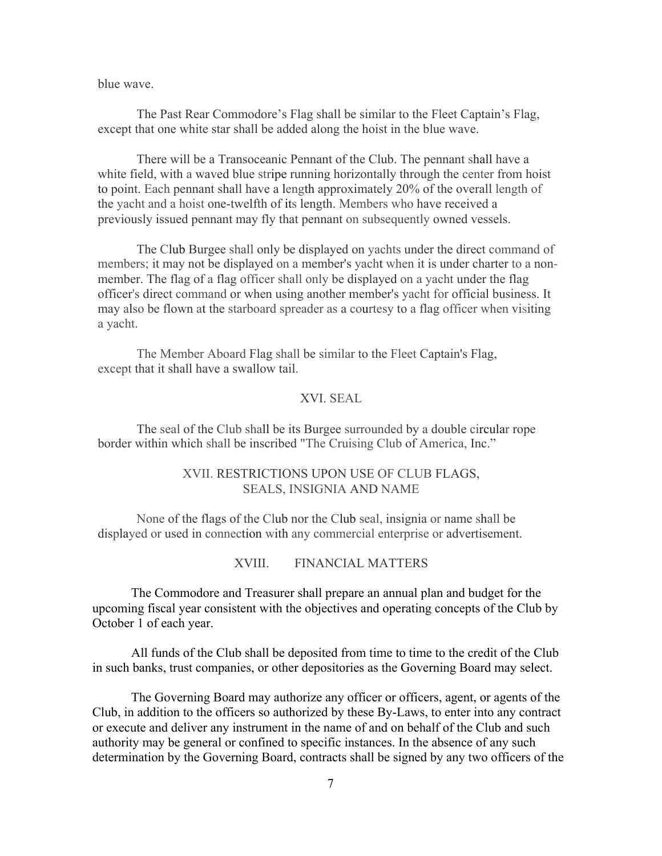blue wave.

The Past Rear Commodore's Flag shall be similar to the Fleet Captain's Flag, except that one white star shall be added along the hoist in the blue wave.

There will be a Transoceanic Pennant of the Club. The pennant shall have a white field, with a waved blue stripe running horizontally through the center from hoist to point. Each pennant shall have a length approximately 20% of the overall length of the yacht and a hoist one-twelfth of its length. Members who have received a previously issued pennant may fly that pennant on subsequently owned vessels.

The Club Burgee shall only be displayed on yachts under the direct command of members; it may not be displayed on a member's yacht when it is under charter to a nonmember. The flag of a flag officer shall only be displayed on a yacht under the flag officer's direct command or when using another member's yacht for official business. It may also be flown at the starboard spreader as a courtesy to a flag officer when visiting a yacht.

The Member Aboard Flag shall be similar to the Fleet Captain's Flag, except that it shall have a swallow tail.

# XVI. SEAL

The seal of the Club shall be its Burgee surrounded by a double circular rope border within which shall be inscribed "The Cruising Club of America, Inc."

## XVII. RESTRICTIONS UPON USE OF CLUB FLAGS, SEALS, INSIGNIA AND NAME

None of the flags of the Club nor the Club seal, insignia or name shall be displayed or used in connection with any commercial enterprise or advertisement.

XVIII. FINANCIAL MATTERS

The Commodore and Treasurer shall prepare an annual plan and budget for the upcoming fiscal year consistent with the objectives and operating concepts of the Club by October 1 of each year.

All funds of the Club shall be deposited from time to time to the credit of the Club in such banks, trust companies, or other depositories as the Governing Board may select.

The Governing Board may authorize any officer or officers, agent, or agents of the Club, in addition to the officers so authorized by these By-Laws, to enter into any contract or execute and deliver any instrument in the name of and on behalf of the Club and such authority may be general or confined to specific instances. In the absence of any such determination by the Governing Board, contracts shall be signed by any two officers of the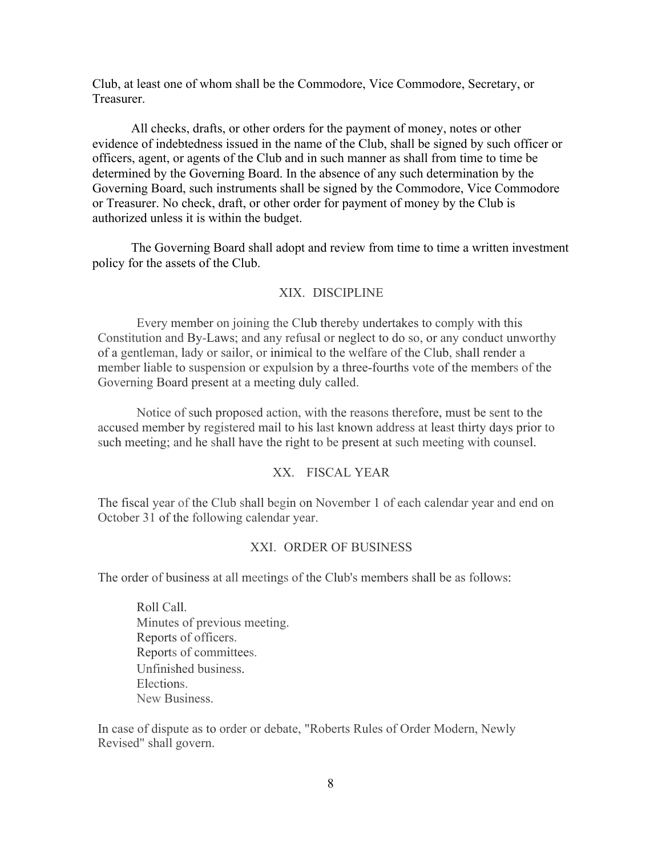Club, at least one of whom shall be the Commodore, Vice Commodore, Secretary, or Treasurer.

All checks, drafts, or other orders for the payment of money, notes or other evidence of indebtedness issued in the name of the Club, shall be signed by such officer or officers, agent, or agents of the Club and in such manner as shall from time to time be determined by the Governing Board. In the absence of any such determination by the Governing Board, such instruments shall be signed by the Commodore, Vice Commodore or Treasurer. No check, draft, or other order for payment of money by the Club is authorized unless it is within the budget.

The Governing Board shall adopt and review from time to time a written investment policy for the assets of the Club.

### XIX. DISCIPLINE

Every member on joining the Club thereby undertakes to comply with this Constitution and By-Laws; and any refusal or neglect to do so, or any conduct unworthy of a gentleman, lady or sailor, or inimical to the welfare of the Club, shall render a member liable to suspension or expulsion by a three-fourths vote of the members of the Governing Board present at a meeting duly called.

Notice of such proposed action, with the reasons therefore, must be sent to the accused member by registered mail to his last known address at least thirty days prior to such meeting; and he shall have the right to be present at such meeting with counsel.

## XX. FISCAL YEAR

The fiscal year of the Club shall begin on November 1 of each calendar year and end on October 31 of the following calendar year.

### XXI. ORDER OF BUSINESS

The order of business at all meetings of the Club's members shall be as follows:

Roll Call. Minutes of previous meeting. Reports of officers. Reports of committees. Unfinished business. Elections. New Business.

In case of dispute as to order or debate, "Roberts Rules of Order Modern, Newly Revised" shall govern.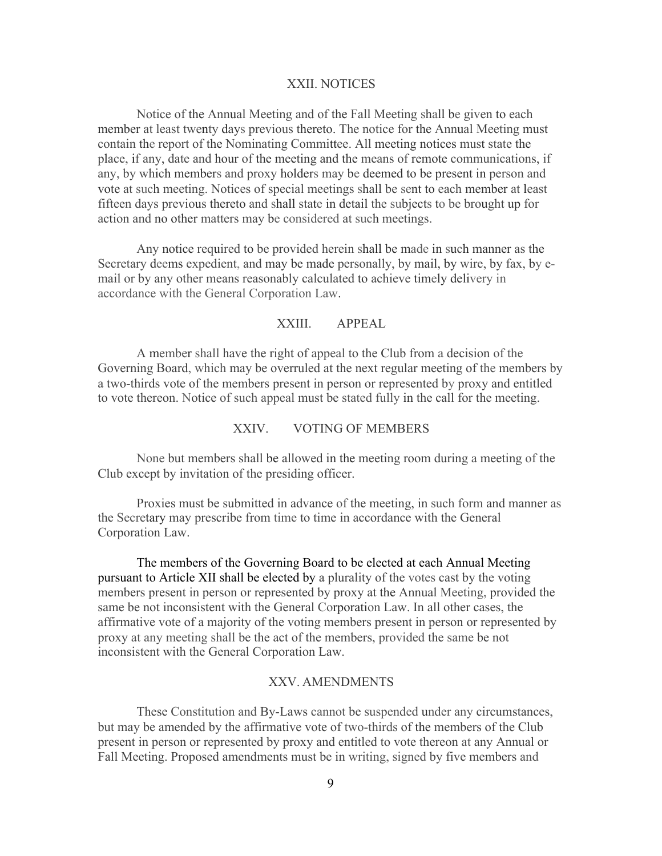#### XXII. NOTICES

Notice of the Annual Meeting and of the Fall Meeting shall be given to each member at least twenty days previous thereto. The notice for the Annual Meeting must contain the report of the Nominating Committee. All meeting notices must state the place, if any, date and hour of the meeting and the means of remote communications, if any, by which members and proxy holders may be deemed to be present in person and vote at such meeting. Notices of special meetings shall be sent to each member at least fifteen days previous thereto and shall state in detail the subjects to be brought up for action and no other matters may be considered at such meetings.

Any notice required to be provided herein shall be made in such manner as the Secretary deems expedient, and may be made personally, by mail, by wire, by fax, by email or by any other means reasonably calculated to achieve timely delivery in accordance with the General Corporation Law.

## XXIII. APPEAL

A member shall have the right of appeal to the Club from a decision of the Governing Board, which may be overruled at the next regular meeting of the members by a two-thirds vote of the members present in person or represented by proxy and entitled to vote thereon. Notice of such appeal must be stated fully in the call for the meeting.

### XXIV. VOTING OF MEMBERS

None but members shall be allowed in the meeting room during a meeting of the Club except by invitation of the presiding officer.

Proxies must be submitted in advance of the meeting, in such form and manner as the Secretary may prescribe from time to time in accordance with the General Corporation Law.

The members of the Governing Board to be elected at each Annual Meeting pursuant to Article XII shall be elected by a plurality of the votes cast by the voting members present in person or represented by proxy at the Annual Meeting, provided the same be not inconsistent with the General Corporation Law. In all other cases, the affirmative vote of a majority of the voting members present in person or represented by proxy at any meeting shall be the act of the members, provided the same be not inconsistent with the General Corporation Law.

### XXV. AMENDMENTS

These Constitution and By-Laws cannot be suspended under any circumstances, but may be amended by the affirmative vote of two-thirds of the members of the Club present in person or represented by proxy and entitled to vote thereon at any Annual or Fall Meeting. Proposed amendments must be in writing, signed by five members and